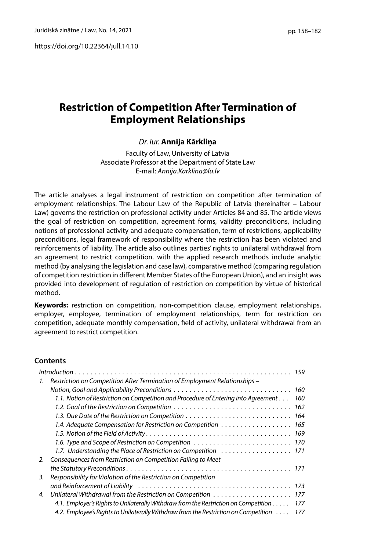https://doi.org/10.22364/jull.14.10

# **Restriction of Competition After Termination of Employment Relationships**

### *Dr. iur.* **Annija Kārkliņa**

Faculty of Law, University of Latvia Associate Professor at the Department of State Law E-mail: *Annija.Karklina@lu.lv*

The article analyses a legal instrument of restriction on competition after termination of employment relationships. The Labour Law of the Republic of Latvia (hereinafter – Labour Law) governs the restriction on professional activity under Articles 84 and 85. The article views the goal of restriction on competition, agreement forms, validity preconditions, including notions of professional activity and adequate compensation, term of restrictions, applicability preconditions, legal framework of responsibility where the restriction has been violated and reinforcements of liability. The article also outlines parties' rights to unilateral withdrawal from an agreement to restrict competition. with the applied research methods include analytic method (by analysing the legislation and case law), comparative method (comparing regulation of competition restriction in different Member States of the European Union), and an insight was provided into development of regulation of restriction on competition by virtue of historical method.

**Keywords:** restriction on competition, non-competition clause, employment relationships, employer, employee, termination of employment relationships, term for restriction on competition, adequate monthly compensation, field of activity, unilateral withdrawal from an agreement to restrict competition.

### **Contents**

| 1. | Restriction on Competition After Termination of Employment Relationships –          |     |
|----|-------------------------------------------------------------------------------------|-----|
|    | Notion, Goal and Applicability Preconditions                                        | 160 |
|    | 1.1. Notion of Restriction on Competition and Procedure of Entering into Agreement  | 160 |
|    | 1.2. Goal of the Restriction on Competition                                         | 162 |
|    |                                                                                     | 164 |
|    | 1.4. Adequate Compensation for Restriction on Competition 165                       |     |
|    |                                                                                     |     |
|    |                                                                                     |     |
|    | 1.7. Understanding the Place of Restriction on Competition  171                     |     |
| 2. | Consequences from Restriction on Competition Failing to Meet                        |     |
|    |                                                                                     |     |
| 3. | Responsibility for Violation of the Restriction on Competition                      |     |
|    |                                                                                     |     |
| 4. |                                                                                     |     |
|    | 4.1. Employer's Rights to Unilaterally Withdraw from the Restriction on Competition | 177 |
|    | 4.2. Employee's Rights to Unilaterally Withdraw from the Restriction on Competition | 177 |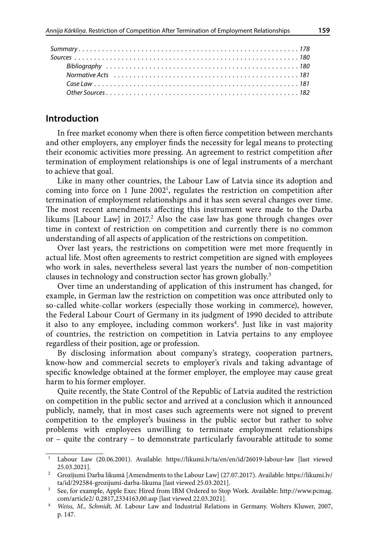## **Introduction**

In free market economy when there is often fierce competition between merchants and other employers, any employer finds the necessity for legal means to protecting their economic activities more pressing. An agreement to restrict competition after termination of employment relationships is one of legal instruments of a merchant to achieve that goal.

Like in many other countries, the Labour Law of Latvia since its adoption and coming into force on 1 June 2002<sup>1</sup>, regulates the restriction on competition after termination of employment relationships and it has seen several changes over time. The most recent amendments affecting this instrument were made to the Darba likums [Labour Law] in 2017.<sup>2</sup> Also the case law has gone through changes over time in context of restriction on competition and currently there is no common understanding of all aspects of application of the restrictions on competition.

Over last years, the restrictions on competition were met more frequently in actual life. Most often agreements to restrict competition are signed with employees who work in sales, nevertheless several last years the number of non-competition clauses in technology and construction sector has grown globally.3

Over time an understanding of application of this instrument has changed, for example, in German law the restriction on competition was once attributed only to so-called white-collar workers (especially those working in commerce), however, the Federal Labour Court of Germany in its judgment of 1990 decided to attribute it also to any employee, including common workers<sup>4</sup>. Just like in vast majority of countries, the restriction on competition in Latvia pertains to any employee regardless of their position, age or profession.

By disclosing information about company's strategy, cooperation partners, know-how and commercial secrets to employer's rivals and taking advantage of specific knowledge obtained at the former employer, the employee may cause great harm to his former employer.

Quite recently, the State Control of the Republic of Latvia audited the restriction on competition in the public sector and arrived at a conclusion which it announced publicly, namely, that in most cases such agreements were not signed to prevent competition to the employer's business in the public sector but rather to solve problems with employees unwilling to terminate employment relationships or – quite the contrary – to demonstrate particularly favourable attitude to some

<sup>1</sup> Labour Law (20.06.2001). Available: <https://likumi.lv/ta/en/en/id/26019-labour-law>[last viewed 25.03.2021].

<sup>&</sup>lt;sup>2</sup> Grozījumi Darba likumā [Amendments to the Labour Law] (27.07.2017). Available: [https://likumi.lv/](https://likumi.lv/ta/id/292584-grozijumi-darba-likuma) [ta/id/292584-grozijumi-darba-likuma](https://likumi.lv/ta/id/292584-grozijumi-darba-likuma) [last viewed 25.03.2021].

<sup>3</sup> See, for example, Apple Exec Hired from IBM Ordered to Stop Work. Available: http://www.pcmag. com/article2/ 0,2817,2334163,00.asp [last viewed 22.03.2021].

<sup>4</sup> *Weiss, M., Schmidt, M.* Labour Law and Industrial Relations in Germany. Wolters Kluwer, 2007, p. 147.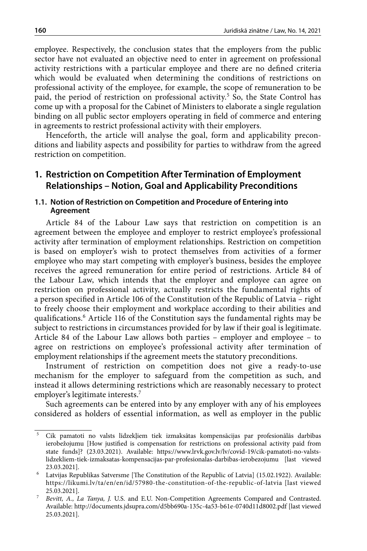employee. Respectively, the conclusion states that the employers from the public sector have not evaluated an objective need to enter in agreement on professional activity restrictions with a particular employee and there are no defined criteria which would be evaluated when determining the conditions of restrictions on professional activity of the employee, for example, the scope of remuneration to be paid, the period of restriction on professional activity.<sup>5</sup> So, the State Control has come up with a proposal for the Cabinet of Ministers to elaborate a single regulation binding on all public sector employers operating in field of commerce and entering in agreements to restrict professional activity with their employers.

Henceforth, the article will analyse the goal, form and applicability preconditions and liability aspects and possibility for parties to withdraw from the agreed restriction on competition.

## **1. Restriction on Competition After Termination of Employment Relationships – Notion, Goal and Applicability Preconditions**

### **1.1. Notion of Restriction on Competition and Procedure of Entering into Agreement**

Article 84 of the Labour Law says that restriction on competition is an agreement between the employee and employer to restrict employee's professional activity after termination of employment relationships. Restriction on competition is based on employer's wish to protect themselves from activities of a former employee who may start competing with employer's business, besides the employee receives the agreed remuneration for entire period of restrictions. Article 84 of the Labour Law, which intends that the employer and employee can agree on restriction on professional activity, actually restricts the fundamental rights of a person specified in Article 106 of the Constitution of the Republic of Latvia – right to freely choose their employment and workplace according to their abilities and qualifications.6 Article 116 of the Constitution says the fundamental rights may be subject to restrictions in circumstances provided for by law if their goal is legitimate. Article 84 of the Labour Law allows both parties – employer and employee – to agree on restrictions on employee's professional activity after termination of employment relationships if the agreement meets the statutory preconditions.

Instrument of restriction on competition does not give a ready-to-use mechanism for the employer to safeguard from the competition as such, and instead it allows determining restrictions which are reasonably necessary to protect employer's legitimate interests.7

Such agreements can be entered into by any employer with any of his employees considered as holders of essential information, as well as employer in the public

 $^{\rm 5}$  Cik pamatoti no valsts līdzekļiem tiek izmaksātas kompensācijas par profesionālās darbības ierobežojumu [How justified is compensation for restrictions on professional activity paid from state funds]? (23.03.2021). Available: [https://www.lrvk.gov.lv/lv/covid-19/cik-pamatoti-no-valsts](https://www.lrvk.gov.lv/lv/covid-19/cik-pamatoti-no-valsts-lidzekliem-tiek-izmaksatas-kompensacijas-par-profesionalas-darbibas-ierobezojumu)[lidzekliem-tiek-izmaksatas-kompensacijas-par-profesionalas-darbibas-ierobezojumu](https://www.lrvk.gov.lv/lv/covid-19/cik-pamatoti-no-valsts-lidzekliem-tiek-izmaksatas-kompensacijas-par-profesionalas-darbibas-ierobezojumu) [last viewed 23.03.2021].

<sup>6</sup> Latvijas Republikas Satversme [The Constitution of the Republic of Latvia] (15.02.1922). Available: https://likumi.lv/ta/en/en/id/57980-the-constitution-of-the-republic-of-latvia [last viewed 25.03.2021].

<sup>7</sup> *Bevitt, A., La Tanya, J.* U.S. and E.U. Non-Competition Agreements Compared and Contrasted. Available: <http://documents.jdsupra.com/d5bb690a-135c-4a53-b61e-0740d11d8002.pdf> [last viewed 25.03.2021].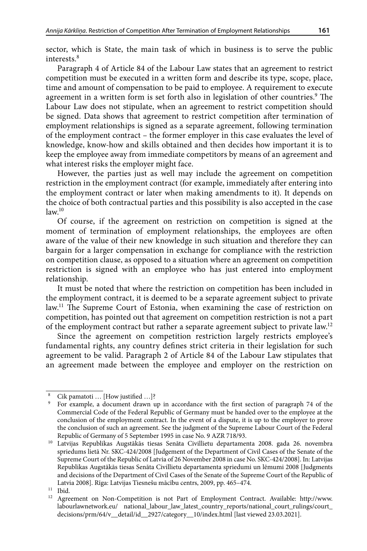sector, which is State, the main task of which in business is to serve the public interests.8

Paragraph 4 of Article 84 of the Labour Law states that an agreement to restrict competition must be executed in a written form and describe its type, scope, place, time and amount of compensation to be paid to employee. A requirement to execute agreement in a written form is set forth also in legislation of other countries.<sup>9</sup> The Labour Law does not stipulate, when an agreement to restrict competition should be signed. Data shows that agreement to restrict competition after termination of employment relationships is signed as a separate agreement, following termination of the employment contract – the former employer in this case evaluates the level of knowledge, know-how and skills obtained and then decides how important it is to keep the employee away from immediate competitors by means of an agreement and what interest risks the employer might face.

However, the parties just as well may include the agreement on competition restriction in the employment contract (for example, immediately after entering into the employment contract or later when making amendments to it). It depends on the choice of both contractual parties and this possibility is also accepted in the case  $law<sup>10</sup>$ 

Of course, if the agreement on restriction on competition is signed at the moment of termination of employment relationships, the employees are often aware of the value of their new knowledge in such situation and therefore they can bargain for a larger compensation in exchange for compliance with the restriction on competition clause, as opposed to a situation where an agreement on competition restriction is signed with an employee who has just entered into employment relationship.

It must be noted that where the restriction on competition has been included in the employment contract, it is deemed to be a separate agreement subject to private law.<sup>11</sup> The Supreme Court of Estonia, when examining the case of restriction on competition, has pointed out that agreement on competition restriction is not a part of the employment contract but rather a separate agreement subject to private law.12

Since the agreement on competition restriction largely restricts employee's fundamental rights, any country defines strict criteria in their legislation for such agreement to be valid. Paragraph 2 of Article 84 of the Labour Law stipulates that an agreement made between the employee and employer on the restriction on

Cik pamatoti … [How justified …]?<br>For example, a document drawn up in accordance with the first section of paragraph 74 of the Commercial Code of the Federal Republic of Germany must be handed over to the employee at the conclusion of the employment contract. In the event of a dispute, it is up to the employer to prove the conclusion of such an agreement. See the judgment of the Supreme Labour Court of the Federal Republic of Germany of 5 September 1995 in case No. 9 AZR 718/93.

<sup>10</sup> Latvijas Republikas Augstākās tiesas Senāta Civillietu departamenta 2008. gada 26. novembra spriedums lietā Nr. SKC-424/2008 [Judgement of the Department of Civil Cases of the Senate of the Supreme Court of the Republic of Latvia of 26 November 2008 in case No. SKC-424/2008]. In: Latvijas Republikas Augstākās tiesas Senāta Civillietu departamenta spriedumi un lēmumi 2008 [Judgments and decisions of the Department of Civil Cases of the Senate of the Supreme Court of the Republic of Latvia 2008]. Rīga: Latvijas Tiesnešu mācību centrs, 2009, pp. 465–474.

<sup>&</sup>lt;sup>11</sup> Ibid.<br><sup>12</sup> Agree

<sup>12</sup> Agreement on Non-Competition is not Part of Employment Contract. Available: [http://www.](http://www.labourlawnetwork.eu/%20national_labour_law_latest_country_reports/national_court_rulings/court_decisions/prm/64/v__detail/id__2927/category__10/index.html) labourlawnetwork.eu/ national labour law latest country reports/national court rulings/court [decisions/prm/64/v\\_\\_detail/id\\_\\_2927/category\\_\\_10/index.html](http://www.labourlawnetwork.eu/%20national_labour_law_latest_country_reports/national_court_rulings/court_decisions/prm/64/v__detail/id__2927/category__10/index.html) [last viewed 23.03.2021].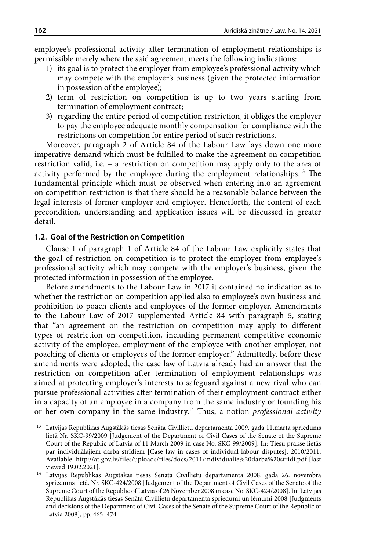employee's professional activity after termination of employment relationships is permissible merely where the said agreement meets the following indications:

- 1) its goal is to protect the employer from employee's professional activity which may compete with the employer's business (given the protected information in possession of the employee);
- 2) term of restriction on competition is up to two years starting from termination of employment contract;
- 3) regarding the entire period of competition restriction, it obliges the employer to pay the employee adequate monthly compensation for compliance with the restrictions on competition for entire period of such restrictions.

Moreover, paragraph 2 of Article 84 of the Labour Law lays down one more imperative demand which must be fulfilled to make the agreement on competition restriction valid, i.e. – a restriction on competition may apply only to the area of activity performed by the employee during the employment relationships.<sup>13</sup> The fundamental principle which must be observed when entering into an agreement on competition restriction is that there should be a reasonable balance between the legal interests of former employer and employee. Henceforth, the content of each precondition, understanding and application issues will be discussed in greater detail.

## **1.2. Goal of the Restriction on Competition**

Clause 1 of paragraph 1 of Article 84 of the Labour Law explicitly states that the goal of restriction on competition is to protect the employer from employee's professional activity which may compete with the employer's business, given the protected information in possession of the employee.

Before amendments to the Labour Law in 2017 it contained no indication as to whether the restriction on competition applied also to employee's own business and prohibition to poach clients and employees of the former employer. Amendments to the Labour Law of 2017 supplemented Article 84 with paragraph 5, stating that "an agreement on the restriction on competition may apply to different types of restriction on competition, including permanent competitive economic activity of the employee, employment of the employee with another employer, not poaching of clients or employees of the former employer." Admittedly, before these amendments were adopted, the case law of Latvia already had an answer that the restriction on competition after termination of employment relationships was aimed at protecting employer's interests to safeguard against a new rival who can pursue professional activities after termination of their employment contract either in a capacity of an employee in a company from the same industry or founding his or her own company in the same industry.14 Thus, a notion *professional activity*

<sup>13</sup> Latvijas Republikas Augstākās tiesas Senāta Civillietu departamenta 2009. gada 11.marta spriedums lietā Nr. SKC-99/2009 [Judgement of the Department of Civil Cases of the Senate of the Supreme Court of the Republic of Latvia of 11 March 2009 in case No. SKC-99/2009]. In: Tiesu prakse lietās par individuālajiem darba strīdiem [Case law in cases of individual labour disputes], 2010/2011. Available: <http://at.gov.lv/files/uploads/files/docs/2011/individualie%20darba%20stridi.pdf> [last

viewed 19.02.2021]. 14 Latvijas Republikas Augstākās tiesas Senāta Civillietu departamenta 2008. gada 26. novembra spriedums lietā. Nr. SKC-424/2008 [Judgement of the Department of Civil Cases of the Senate of the Supreme Court of the Republic of Latvia of 26 November 2008 in case No. SKC-424/2008]. In: Latvijas Republikas Augstākās tiesas Senāta Civillietu departamenta spriedumi un lēmumi 2008 [Judgments and decisions of the Department of Civil Cases of the Senate of the Supreme Court of the Republic of Latvia 2008], pp. 465–474.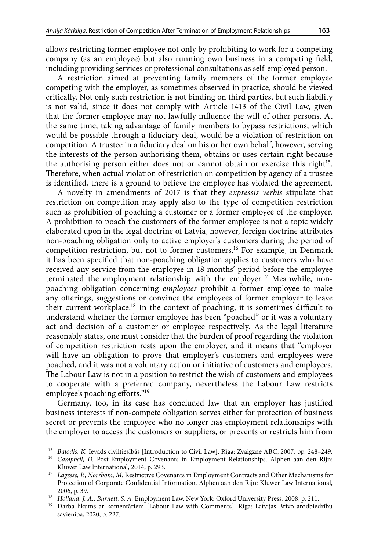allows restricting former employee not only by prohibiting to work for a competing company (as an employee) but also running own business in a competing field, including providing services or professional consultations as self-employed person.

A restriction aimed at preventing family members of the former employee competing with the employer, as sometimes observed in practice, should be viewed critically. Not only such restriction is not binding on third parties, but such liability is not valid, since it does not comply with Article 1413 of the Civil Law, given that the former employee may not lawfully influence the will of other persons. At the same time, taking advantage of family members to bypass restrictions, which would be possible through a fiduciary deal, would be a violation of restriction on competition. A trustee in a fiduciary deal on his or her own behalf, however, serving the interests of the person authorising them, obtains or uses certain right because the authorising person either does not or cannot obtain or exercise this right<sup>15</sup>. Therefore, when actual violation of restriction on competition by agency of a trustee is identified, there is a ground to believe the employee has violated the agreement.

A novelty in amendments of 2017 is that they *expressis verbis* stipulate that restriction on competition may apply also to the type of competition restriction such as prohibition of poaching a customer or a former employee of the employer. A prohibition to poach the customers of the former employee is not a topic widely elaborated upon in the legal doctrine of Latvia, however, foreign doctrine attributes non-poaching obligation only to active employer's customers during the period of competition restriction, but not to former customers.<sup>16</sup> For example, in Denmark it has been specified that non-poaching obligation applies to customers who have received any service from the employee in 18 months' period before the employee terminated the employment relationship with the employer.<sup>17</sup> Meanwhile, nonpoaching obligation concerning *employees* prohibit a former employee to make any offerings, suggestions or convince the employees of former employer to leave their current workplace.18 In the context of poaching, it is sometimes difficult to understand whether the former employee has been "poached" or it was a voluntary act and decision of a customer or employee respectively. As the legal literature reasonably states, one must consider that the burden of proof regarding the violation of competition restriction rests upon the employer, and it means that "employer will have an obligation to prove that employer's customers and employees were poached, and it was not a voluntary action or initiative of customers and employees. The Labour Law is not in a position to restrict the wish of customers and employees to cooperate with a preferred company, nevertheless the Labour Law restricts employee's poaching efforts."19

Germany, too, in its case has concluded law that an employer has justified business interests if non-compete obligation serves either for protection of business secret or prevents the employee who no longer has employment relationships with the employer to access the customers or suppliers, or prevents or restricts him from

<sup>15</sup> *Balodis, K.* Ievads civiltiesībās [Introduction to Civil Law]. Rīga: Zvaigzne ABC, 2007, pp. 248–249.

<sup>16</sup> *Campbell, D.* Post-Employment Covenants in Employment Relationships. Alphen aan den Rijn: Kluwer Law International, 2014, p. 293.

<sup>17</sup> *Lagesse, P., Norrbom, M.* Restrictive Covenants in Employment Contracts and Other Mechanisms for Protection of Corporate Confidential Information. Alphen aan den Rijn: Kluwer Law International,

<sup>2006,</sup> p. 39.<br><sup>18</sup> Holland, J. A., Burnett, S. A. Employment Law. New York: Oxford University Press, 2008, p. 211.

<sup>&</sup>lt;sup>19</sup> Darba likums ar komentāriem [Labour Law with Comments]. Rīga: Latvijas Brīvo arodbiedrību savienība, 2020, p. 227.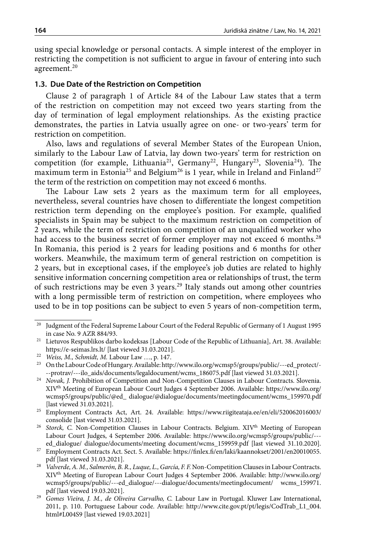using special knowledge or personal contacts. A simple interest of the employer in restricting the competition is not sufficient to argue in favour of entering into such agreement.20

### **1.3. Due Date of the Restriction on Competition**

Clause 2 of paragraph 1 of Article 84 of the Labour Law states that a term of the restriction on competition may not exceed two years starting from the day of termination of legal employment relationships. As the existing practice demonstrates, the parties in Latvia usually agree on one- or two-years' term for restriction on competition.

Also, laws and regulations of several Member States of the European Union, similarly to the Labour Law of Latvia, lay down two-years' term for restriction on competition (for example, Lithuania<sup>21</sup>, Germany<sup>22</sup>, Hungary<sup>23</sup>, Slovenia<sup>24</sup>). The maximum term in Estonia<sup>25</sup> and Belgium<sup>26</sup> is 1 year, while in Ireland and Finland<sup>27</sup> the term of the restriction on competition may not exceed 6 months.

The Labour Law sets 2 years as the maximum term for all employees, nevertheless, several countries have chosen to differentiate the longest competition restriction term depending on the employee's position. For example, qualified specialists in Spain may be subject to the maximum restriction on competition of 2 years, while the term of restriction on competition of an unqualified worker who had access to the business secret of former employer may not exceed 6 months.<sup>28</sup> In Romania, this period is 2 years for leading positions and 6 months for other workers. Meanwhile, the maximum term of general restriction on competition is 2 years, but in exceptional cases, if the employee's job duties are related to highly sensitive information concerning competition area or relationships of trust, the term of such restrictions may be even 3 years.<sup>29</sup> Italy stands out among other countries with a long permissible term of restriction on competition, where employees who used to be in top positions can be subject to even 5 years of non-competition term,

<sup>&</sup>lt;sup>20</sup> Judgment of the Federal Supreme Labour Court of the Federal Republic of Germany of 1 August 1995 in case No. 9 AZR 884/93.

<sup>21</sup> Lietuvos Respublikos darbo kodeksas [Labour Code of the Republic of Lithuania], Art. 38. Available: <https://e-seimas.lrs.lt/> [last viewed 31.03.2021]. 22 *Weiss, M., Schmidt, M.* Labour Law …, p. 147.

<sup>23</sup> On the Labour Code of Hungary. Available: [http://www.ilo.org/wcmsp5/groups/public/---ed\\_protect/-](http://www.ilo.org/wcmsp5/groups/public/---ed_protect/---protrav/---ilo_aids/documents/legaldocument/wcms_186075.pdf) [--protrav/---ilo\\_aids/documents/legaldocument/wcms\\_186075.pdf](http://www.ilo.org/wcmsp5/groups/public/---ed_protect/---protrav/---ilo_aids/documents/legaldocument/wcms_186075.pdf) [last viewed 31.03.2021].

<sup>&</sup>lt;sup>24</sup> *Novak, J.* Prohibition of Competition and Non-Competition Clauses in Labour Contracts. Slovenia. XIVth Meeting of European Labour Court Judges 4 September 2006. Available: [https://www.ilo.org/](https://www.ilo.org/wcmsp5/groups/public/%40ed_%20dialogue/%40dialogue/documents/meetingdocument/wcms_159970.pdf) [wcmsp5/groups/public/@ed\\_ dialogue/@dialogue/documents/meetingdocument/wcms\\_159970.pdf](https://www.ilo.org/wcmsp5/groups/public/%40ed_%20dialogue/%40dialogue/documents/meetingdocument/wcms_159970.pdf) [last viewed 31.03.2021].

<sup>25</sup> Employment Contracts Act, Art. 24. Available: [https://www.riigiteataja.ee/en/eli/520062016003/](https://www.riigiteataja.ee/en/eli/520062016003/consolide) [consolide](https://www.riigiteataja.ee/en/eli/520062016003/consolide) [last viewed 31.03.2021].

<sup>&</sup>lt;sup>26</sup> Storck, C. Non-Competition Clauses in Labour Contracts. Belgium. XIV<sup>th</sup> Meeting of European Labour Court Judges, 4 September 2006. Available: [https://www.ilo.org/wcmsp5/groups/public/--](https://www.ilo.org/wcmsp5/groups/public/---ed_dialogue/) [ed\\_dialogue/](https://www.ilo.org/wcmsp5/groups/public/---ed_dialogue/) dialogue/documents/meeting document/wcms\_159959.pdf [last viewed 31.10.2020].

<sup>27</sup> Employment Contracts Act. Sect. 5. Available: [https://finlex.fi/en/laki/kaannokset/2001/en20010055.](https://finlex.fi/en/laki/kaannokset/2001/en20010055.pdf) [pdf](https://finlex.fi/en/laki/kaannokset/2001/en20010055.pdf) [last viewed 31.03.2021].

<sup>&</sup>lt;sup>28</sup> *Valverde, A. M., Salmerón, B. R., Luque, L., García, F. F. Non-Competition Clauses in Labour Contracts.* XIVth Meeting of European Labour Court Judges 4 September 2006. Available: [http://www.ilo.org/](http://www.ilo.org/wcmsp5/groups/public/---ed_dialogue/---dialogue/documents/meetingdocument/) [wcmsp5/groups/public/---ed\\_dialogue/---dialogue/documents/meetingdocument/](http://www.ilo.org/wcmsp5/groups/public/---ed_dialogue/---dialogue/documents/meetingdocument/) wcms\_159971. pdf [last viewed 19.03.2021].

<sup>29</sup> *Gomes Vieira, J. M., de Oliveira Carvalho, C.* Labour Law in Portugal. Kluwer Law International, 2011, p. 110. Portuguese Labour code. Available: http://www.cite.gov.pt/pt/legis/CodTrab\_L1\_004. html#L004S9 [last viewed 19.03.2021]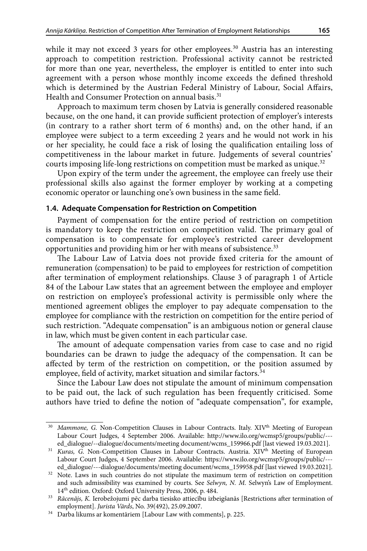while it may not exceed 3 years for other employees.<sup>30</sup> Austria has an interesting approach to competition restriction. Professional activity cannot be restricted for more than one year, nevertheless, the employer is entitled to enter into such agreement with a person whose monthly income exceeds the defined threshold which is determined by the Austrian Federal Ministry of Labour, Social Affairs, Health and Consumer Protection on annual basis.<sup>31</sup>

Approach to maximum term chosen by Latvia is generally considered reasonable because, on the one hand, it can provide sufficient protection of employer's interests (in contrary to a rather short term of 6 months) and, on the other hand, if an employee were subject to a term exceeding 2 years and he would not work in his or her speciality, he could face a risk of losing the qualification entailing loss of competitiveness in the labour market in future. Judgements of several countries' courts imposing life-long restrictions on competition must be marked as unique.<sup>32</sup>

Upon expiry of the term under the agreement, the employee can freely use their professional skills also against the former employer by working at a competing economic operator or launching one's own business in the same field.

## **1.4. Adequate Compensation for Restriction on Competition**

Payment of compensation for the entire period of restriction on competition is mandatory to keep the restriction on competition valid. The primary goal of compensation is to compensate for employee's restricted career development opportunities and providing him or her with means of subsistence.33

The Labour Law of Latvia does not provide fixed criteria for the amount of remuneration (compensation) to be paid to employees for restriction of competition after termination of employment relationships. Clause 3 of paragraph 1 of Article 84 of the Labour Law states that an agreement between the employee and employer on restriction on employee's professional activity is permissible only where the mentioned agreement obliges the employer to pay adequate compensation to the employee for compliance with the restriction on competition for the entire period of such restriction. "Adequate compensation" is an ambiguous notion or general clause in law, which must be given content in each particular case.

The amount of adequate compensation varies from case to case and no rigid boundaries can be drawn to judge the adequacy of the compensation. It can be affected by term of the restriction on competition, or the position assumed by employee, field of activity, market situation and similar factors.<sup>34</sup>

Since the Labour Law does not stipulate the amount of minimum compensation to be paid out, the lack of such regulation has been frequently criticised. Some authors have tried to define the notion of "adequate compensation", for example,

*Mammone, G. Non-Competition Clauses in Labour Contracts. Italy. XIV<sup>th</sup> Meeting of European* Labour Court Judges, 4 September 2006. Available: [http://www.ilo.org/wcmsp5/groups/public/--](http://www.ilo.org/wcmsp5/groups/public/---ed_dialogue/--dialogue/documents/meeting%20document/wcms_159966.pdf) [ed\\_dialogue/--dialogue/documents/meeting document/wcms\\_159966.pdf](http://www.ilo.org/wcmsp5/groups/public/---ed_dialogue/--dialogue/documents/meeting%20document/wcms_159966.pdf) [last viewed 19.03.2021].

Kuras, G. Non-Competition Clauses in Labour Contracts. Austria. XIV<sup>th</sup> Meeting of European Labour Court Judges, 4 September 2006. Available: [https://www.ilo.org/wcmsp5/groups/public/--](https://www.ilo.org/wcmsp5/groups/public/---ed_dialogue/---dialogue/documents/meeting%20document/wcms_159958.pdf) [ed\\_dialogue/---dialogue/documents/meeting document/wcms\\_159958.pdf](https://www.ilo.org/wcmsp5/groups/public/---ed_dialogue/---dialogue/documents/meeting%20document/wcms_159958.pdf) [last viewed 19.03.2021].

<sup>&</sup>lt;sup>32</sup> Note. Laws in such countries do not stipulate the maximum term of restriction on competition and such admissibility was examined by courts. See *Selwyn, N. M.* Selwyn's Law of Employment. 14th edition. Oxford: Oxford University Press, 2006, p. 484.

<sup>33</sup> *Rācenājs, K.* Ierobežojumi pēc darba tiesisko attiecību izbeigšanās [Restrictions after termination of employment]. *Jurista Vārds*, No. 39(492), 25.09.2007. 34 Darba likums ar komentāriem [Labour Law with comments], p. 225.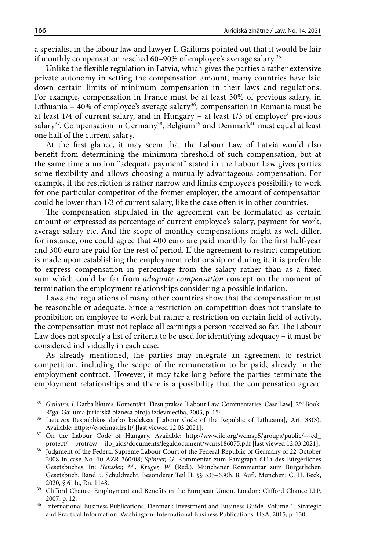a specialist in the labour law and lawyer I. Gailums pointed out that it would be fair if monthly compensation reached 60–90% of employee's average salary.<sup>35</sup>

Unlike the flexible regulation in Latvia, which gives the parties a rather extensive private autonomy in setting the compensation amount, many countries have laid down certain limits of minimum compensation in their laws and regulations. For example, compensation in France must be at least 30% of previous salary, in Lithuania – 40% of employee's average salary<sup>36</sup>, compensation in Romania must be at least 1/4 of current salary, and in Hungary – at least 1/3 of employee' previous salary $^{37}$ . Compensation in Germany $^{38}$ , Belgium $^{39}$  and Denmark $^{40}$  must equal at least one half of the current salary.

At the first glance, it may seem that the Labour Law of Latvia would also benefit from determining the minimum threshold of such compensation, but at the same time a notion "adequate payment" stated in the Labour Law gives parties some flexibility and allows choosing a mutually advantageous compensation. For example, if the restriction is rather narrow and limits employee's possibility to work for one particular competitor of the former employer, the amount of compensation could be lower than 1/3 of current salary, like the case often is in other countries.

The compensation stipulated in the agreement can be formulated as certain amount or expressed as percentage of current employee's salary, payment for work, average salary etc. And the scope of monthly compensations might as well differ, for instance, one could agree that 400 euro are paid monthly for the first half-year and 300 euro are paid for the rest of period. If the agreement to restrict competition is made upon establishing the employment relationship or during it, it is preferable to express compensation in percentage from the salary rather than as a fixed sum which could be far from *adequate compensation* concept on the moment of termination the employment relationships considering a possible inflation.

Laws and regulations of many other countries show that the compensation must be reasonable or adequate. Since a restriction on competition does not translate to prohibition on employee to work but rather a restriction on certain field of activity, the compensation must not replace all earnings a person received so far. The Labour Law does not specify a list of criteria to be used for identifying adequacy – it must be considered individually in each case.

As already mentioned, the parties may integrate an agreement to restrict competition, including the scope of the remuneration to be paid, already in the employment contract. However, it may take long before the parties terminate the employment relationships and there is a possibility that the compensation agreed

<sup>&</sup>lt;sup>35</sup> Gailums, I. Darba likums. Komentāri. Tiesu prakse [Labour Law. Commentaries. Case Law]. 2<sup>nd</sup> Book. Rīga: Gailuma juridiskā biznesa biroja izdevniecība, 2003, p. 154.

<sup>36</sup> Lietuvos Respublikos darbo kodeksas [Labour Code of the Republic of Lithuania], Art. 38(3).

<sup>&</sup>lt;sup>37</sup> On the Labour Code of Hungary. Available: [http://www.ilo.org/wcmsp5/groups/public/---ed\\_](http://www.ilo.org/wcmsp5/groups/public/---ed_protect/---protrav/---ilo_aids/documents/legaldocument/wcms186075.pdf) [protect/---protrav/---ilo\\_aids/documents/legaldocument/wcms186075.pdf](http://www.ilo.org/wcmsp5/groups/public/---ed_protect/---protrav/---ilo_aids/documents/legaldocument/wcms186075.pdf) [last viewed 12.03.2021].

<sup>&</sup>lt;sup>38</sup> Judgment of the Federal Supreme Labour Court of the Federal Republic of Germany of 22 October 2008 in case No. 10 AZR 360/08; *Spinner, G.* Kommentar zum Paragraph 611a des Bürgerliches Gesetzbuches. In: *Henssler, M., Krüger, W.* (Red.). Münchener Kommentar zum Bürgerlichen Gesetzbuch. Band 5. Schuldrecht. Besonderer Teil II. §§ 535–630h. 8. Aufl. München: C. H. Beck, 2020, § 611a, Rn. 1148.

<sup>&</sup>lt;sup>39</sup> Clifford Chance. Employment and Benefits in the European Union. London: Clifford Chance LLP, 2007, p. 12.

<sup>40</sup> International Business Publications. Denmark Investment and Business Guide. Volume 1. Strategic and Practical Information. Washington: International Business Publications. USA, 2015, p. 130.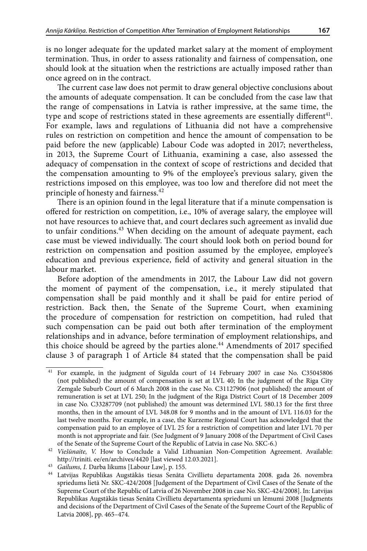is no longer adequate for the updated market salary at the moment of employment termination. Thus, in order to assess rationality and fairness of compensation, one should look at the situation when the restrictions are actually imposed rather than once agreed on in the contract.

The current case law does not permit to draw general objective conclusions about the amounts of adequate compensation. It can be concluded from the case law that the range of compensations in Latvia is rather impressive, at the same time, the type and scope of restrictions stated in these agreements are essentially different<sup>41</sup>. For example, laws and regulations of Lithuania did not have a comprehensive rules on restriction on competition and hence the amount of compensation to be paid before the new (applicable) Labour Code was adopted in 2017; nevertheless, in 2013, the Supreme Court of Lithuania, examining a case, also assessed the adequacy of compensation in the context of scope of restrictions and decided that the compensation amounting to 9% of the employee's previous salary, given the restrictions imposed on this employee, was too low and therefore did not meet the principle of honesty and fairness.<sup>42</sup>

There is an opinion found in the legal literature that if a minute compensation is offered for restriction on competition, i.e., 10% of average salary, the employee will not have resources to achieve that, and court declares such agreement as invalid due to unfair conditions.<sup>43</sup> When deciding on the amount of adequate payment, each case must be viewed individually. The court should look both on period bound for restriction on compensation and position assumed by the employee, employee's education and previous experience, field of activity and general situation in the labour market.

Before adoption of the amendments in 2017, the Labour Law did not govern the moment of payment of the compensation, i.e., it merely stipulated that compensation shall be paid monthly and it shall be paid for entire period of restriction. Back then, the Senate of the Supreme Court, when examining the procedure of compensation for restriction on competition, had ruled that such compensation can be paid out both after termination of the employment relationships and in advance, before termination of employment relationships, and this choice should be agreed by the parties alone.<sup>44</sup> Amendments of 2017 specified clause 3 of paragraph 1 of Article 84 stated that the compensation shall be paid

<sup>41</sup> For example, in the judgment of Sigulda court of 14 February 2007 in case No. C35045806 (not published) the amount of compensation is set at LVL 40; In the judgment of the Riga City Zemgale Suburb Court of 6 March 2008 in the case No. C31127906 (not published) the amount of remuneration is set at LVL 250; In the judgment of the Riga District Court of 18 December 2009 in case No. C33287709 (not published) the amount was determined LVL 580.13 for the first three months, then in the amount of LVL 348.08 for 9 months and in the amount of LVL 116.03 for the last twelve months. For example, in a case, the Kurzeme Regional Court has acknowledged that the compensation paid to an employee of LVL 25 for a restriction of competition and later LVL 70 per month is not appropriate and fair. (See Judgment of 9 January 2008 of the Department of Civil Cases of the Senate of the Supreme Court of the Republic of Latvia in case No. SKC-6.)

<sup>42</sup> *Viešūnaite, V.* How to Conclude a Valid Lithuanian Non-Competition Agreement. Available: http://triniti. ee/en/archives/4420 [last viewed 12.03.2021].

<sup>43</sup> *Gailums, I.* Darba likums [Labour Law], p. 155.

<sup>44</sup> Latvijas Republikas Augstākās tiesas Senāta Civillietu departamenta 2008. gada 26. novembra spriedums lietā Nr. SKC-424/2008 [Judgement of the Department of Civil Cases of the Senate of the Supreme Court of the Republic of Latvia of 26 November 2008 in case No. SKC-424/2008]. In: Latvijas Republikas Augstākās tiesas Senāta Civillietu departamenta spriedumi un lēmumi 2008 [Judgments and decisions of the Department of Civil Cases of the Senate of the Supreme Court of the Republic of Latvia 2008], pp. 465–474.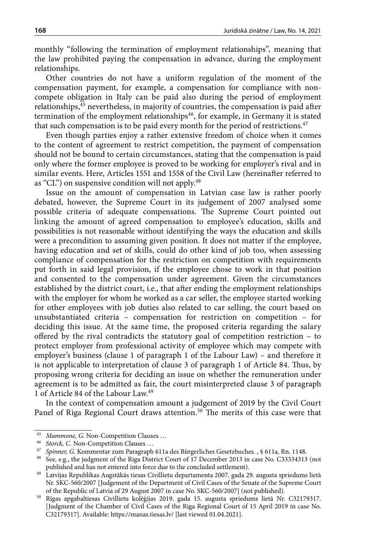monthly "following the termination of employment relationships", meaning that the law prohibited paying the compensation in advance, during the employment relationships.

Other countries do not have a uniform regulation of the moment of the compensation payment, for example, a compensation for compliance with noncompete obligation in Italy can be paid also during the period of employment relationships,45 nevertheless, in majority of countries, the compensation is paid after termination of the employment relationships<sup>46</sup>, for example, in Germany it is stated that such compensation is to be paid every month for the period of restrictions.<sup>47</sup>

Even though parties enjoy a rather extensive freedom of choice when it comes to the content of agreement to restrict competition, the payment of compensation should not be bound to certain circumstances, stating that the compensation is paid only where the former employee is proved to be working for employer's rival and in similar events. Here, Articles 1551 and 1558 of the Civil Law (hereinafter referred to as "CL") on suspensive condition will not apply.<sup>48</sup>

Issue on the amount of compensation in Latvian case law is rather poorly debated, however, the Supreme Court in its judgement of 2007 analysed some possible criteria of adequate compensations. The Supreme Court pointed out linking the amount of agreed compensation to employee's education, skills and possibilities is not reasonable without identifying the ways the education and skills were a precondition to assuming given position. It does not matter if the employee, having education and set of skills, could do other kind of job too, when assessing compliance of compensation for the restriction on competition with requirements put forth in said legal provision, if the employee chose to work in that position and consented to the compensation under agreement. Given the circumstances established by the district court, i.e., that after ending the employment relationships with the employer for whom he worked as a car seller, the employee started working for other employees with job duties also related to car selling, the court based on unsubstantiated criteria – compensation for restriction on competition – for deciding this issue. At the same time, the proposed criteria regarding the salary offered by the rival contradicts the statutory goal of competition restriction – to protect employer from professional activity of employee which may compete with employer's business (clause 1 of paragraph 1 of the Labour Law) – and therefore it is not applicable to interpretation of clause 3 of paragraph 1 of Article 84. Thus, by proposing wrong criteria for deciding an issue on whether the remuneration under agreement is to be admitted as fair, the court misinterpreted clause 3 of paragraph 1 of Article 84 of the Labour Law.49

In the context of compensation amount a judgement of 2019 by the Civil Court Panel of Riga Regional Court draws attention.<sup>50</sup> The merits of this case were that

<sup>45</sup> *Mammone, G.* Non-Competition Clauses … 46 *Storck, C.* Non-Competition Clauses …

<sup>47</sup> *Spinner, G*. Kommentar zum Paragraph 611a des Bürgerliches Gesetzbuches. , § 611a, Rn. 1148.

<sup>48</sup> See, e.g., the judgment of the Riga District Court of 17 December 2013 in case No. C33334313 (not published and has not entered into force due to the concluded settlement).

<sup>49</sup> Latvijas Republikas Augstākās tiesas Civillietu departamenta 2007. gada 29. augusta spriedums lietā Nr. SKC-560/2007 [Judgement of the Department of Civil Cases of the Senate of the Supreme Court of the Republic of Latvia of 29 August 2007 in case No. SKC-560/2007] (not published).

<sup>50</sup> Rīgas apgabaltiesas Civillietu kolēģijas 2019. gada 15. augusta spriedums lietā Nr. C32179317. [Judgment of the Chamber of Civil Cases of the Riga Regional Court of 15 April 2019 in case No. C32179317]. Available: <https://manas.tiesas.lv/>[last viewed 01.04.2021].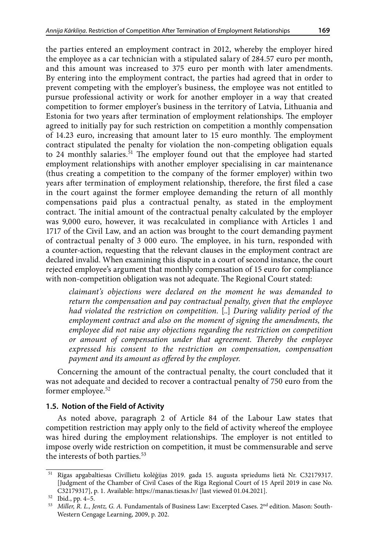the parties entered an employment contract in 2012, whereby the employer hired the employee as a car technician with a stipulated salary of 284.57 euro per month, and this amount was increased to 375 euro per month with later amendments. By entering into the employment contract, the parties had agreed that in order to prevent competing with the employer's business, the employee was not entitled to pursue professional activity or work for another employer in a way that created competition to former employer's business in the territory of Latvia, Lithuania and Estonia for two years after termination of employment relationships. The employer agreed to initially pay for such restriction on competition a monthly compensation of 14.23 euro, increasing that amount later to 15 euro monthly. The employment contract stipulated the penalty for violation the non-competing obligation equals to 24 monthly salaries.<sup>51</sup> The employer found out that the employee had started employment relationships with another employer specialising in car maintenance (thus creating a competition to the company of the former employer) within two years after termination of employment relationship, therefore, the first filed a case in the court against the former employee demanding the return of all monthly compensations paid plus a contractual penalty, as stated in the employment contract. The initial amount of the contractual penalty calculated by the employer was 9,000 euro, however, it was recalculated in compliance with Articles 1 and 1717 of the Civil Law, and an action was brought to the court demanding payment of contractual penalty of 3 000 euro. The employee, in his turn, responded with a counter-action, requesting that the relevant clauses in the employment contract are declared invalid. When examining this dispute in a court of second instance, the court rejected employee's argument that monthly compensation of 15 euro for compliance with non-competition obligation was not adequate. The Regional Court stated:

*claimant's objections were declared on the moment he was demanded to return the compensation and pay contractual penalty, given that the employee had violated the restriction on competition.* [..] *During validity period of the employment contract and also on the moment of signing the amendments, the employee did not raise any objections regarding the restriction on competition or amount of compensation under that agreement. Thereby the employee expressed his consent to the restriction on compensation, compensation payment and its amount as offered by the employer.*

Concerning the amount of the contractual penalty, the court concluded that it was not adequate and decided to recover a contractual penalty of 750 euro from the former employee.<sup>52</sup>

## **1.5. Notion of the Field of Activity**

As noted above, paragraph 2 of Article 84 of the Labour Law states that competition restriction may apply only to the field of activity whereof the employee was hired during the employment relationships. The employer is not entitled to impose overly wide restriction on competition, it must be commensurable and serve the interests of both parties.<sup>53</sup>

<sup>51</sup> Rīgas apgabaltiesas Civillietu kolēģijas 2019. gada 15. augusta spriedums lietā Nr. C32179317. [Judgment of the Chamber of Civil Cases of the Riga Regional Court of 15 April 2019 in case No. C32179317], p. 1. Available: https://manas.tiesas.lv/ [last viewed 01.04.2021].

<sup>52</sup> Ibid., pp. 4–5.

<sup>53</sup> *Miller, R. L., Jentz, G. A. Fundamentals of Business Law: Excerpted Cases.* 2<sup>nd</sup> edition. Mason: South-Western Cengage Learning, 2009, p. 202.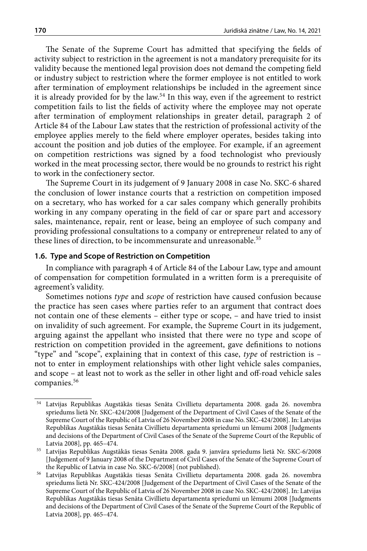The Senate of the Supreme Court has admitted that specifying the fields of activity subject to restriction in the agreement is not a mandatory prerequisite for its validity because the mentioned legal provision does not demand the competing field or industry subject to restriction where the former employee is not entitled to work after termination of employment relationships be included in the agreement since it is already provided for by the law.<sup>54</sup> In this way, even if the agreement to restrict competition fails to list the fields of activity where the employee may not operate after termination of employment relationships in greater detail, paragraph 2 of Article 84 of the Labour Law states that the restriction of professional activity of the employee applies merely to the field where employer operates, besides taking into account the position and job duties of the employee. For example, if an agreement on competition restrictions was signed by a food technologist who previously worked in the meat processing sector, there would be no grounds to restrict his right to work in the confectionery sector.

The Supreme Court in its judgement of 9 January 2008 in case No. SKC-6 shared the conclusion of lower instance courts that a restriction on competition imposed on a secretary, who has worked for a car sales company which generally prohibits working in any company operating in the field of car or spare part and accessory sales, maintenance, repair, rent or lease, being an employee of such company and providing professional consultations to a company or entrepreneur related to any of these lines of direction, to be incommensurate and unreasonable.<sup>55</sup>

### **1.6. Type and Scope of Restriction on Competition**

In compliance with paragraph 4 of Article 84 of the Labour Law, type and amount of compensation for competition formulated in a written form is a prerequisite of agreement's validity.

Sometimes notions *type* and *scope* of restriction have caused confusion because the practice has seen cases where parties refer to an argument that contract does not contain one of these elements – either type or scope, – and have tried to insist on invalidity of such agreement. For example, the Supreme Court in its judgement, arguing against the appellant who insisted that there were no type and scope of restriction on competition provided in the agreement, gave definitions to notions "type" and "scope", explaining that in context of this case, *type* of restriction is – not to enter in employment relationships with other light vehicle sales companies, and scope – at least not to work as the seller in other light and off-road vehicle sales companies.<sup>56</sup>

Latvijas Republikas Augstākās tiesas Senāta Civillietu departamenta 2008. gada 26. novembra spriedums lietā Nr. SKC-424/2008 [Judgement of the Department of Civil Cases of the Senate of the Supreme Court of the Republic of Latvia of 26 November 2008 in case No. SKC-424/2008]. In: Latvijas Republikas Augstākās tiesas Senāta Civillietu departamenta spriedumi un lēmumi 2008 [Judgments and decisions of the Department of Civil Cases of the Senate of the Supreme Court of the Republic of Latvia 2008], pp. 465–474.

<sup>55</sup> Latvijas Republikas Augstākās tiesas Senāta 2008. gada 9. janvāra spriedums lietā Nr. SKC-6/2008 [Judgement of 9 January 2008 of the Department of Civil Cases of the Senate of the Supreme Court of the Republic of Latvia in case No. SKC-6/2008] (not published).

<sup>56</sup> Latvijas Republikas Augstākās tiesas Senāta Civillietu departamenta 2008. gada 26. novembra spriedums lietā Nr. SKC-424/2008 [Judgement of the Department of Civil Cases of the Senate of the Supreme Court of the Republic of Latvia of 26 November 2008 in case No. SKC-424/2008]. In: Latvijas Republikas Augstākās tiesas Senāta Civillietu departamenta spriedumi un lēmumi 2008 [Judgments and decisions of the Department of Civil Cases of the Senate of the Supreme Court of the Republic of Latvia 2008], pp. 465–474.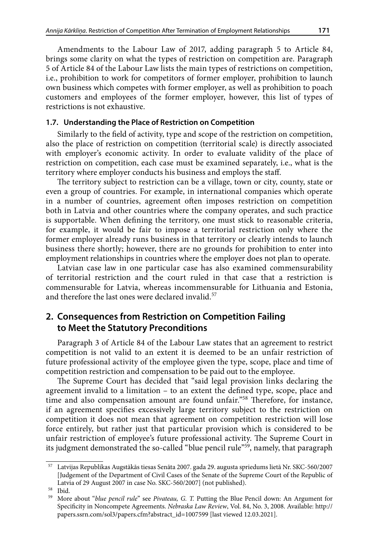Amendments to the Labour Law of 2017, adding paragraph 5 to Article 84, brings some clarity on what the types of restriction on competition are. Paragraph 5 of Article 84 of the Labour Law lists the main types of restrictions on competition, i.e., prohibition to work for competitors of former employer, prohibition to launch own business which competes with former employer, as well as prohibition to poach customers and employees of the former employer, however, this list of types of restrictions is not exhaustive.

### **1.7. Understanding the Place of Restriction on Competition**

Similarly to the field of activity, type and scope of the restriction on competition, also the place of restriction on competition (territorial scale) is directly associated with employer's economic activity. In order to evaluate validity of the place of restriction on competition, each case must be examined separately, i.e., what is the territory where employer conducts his business and employs the staff.

The territory subject to restriction can be a village, town or city, county, state or even a group of countries. For example, in international companies which operate in a number of countries, agreement often imposes restriction on competition both in Latvia and other countries where the company operates, and such practice is supportable. When defining the territory, one must stick to reasonable criteria, for example, it would be fair to impose a territorial restriction only where the former employer already runs business in that territory or clearly intends to launch business there shortly; however, there are no grounds for prohibition to enter into employment relationships in countries where the employer does not plan to operate.

Latvian case law in one particular case has also examined commensurability of territorial restriction and the court ruled in that case that a restriction is commensurable for Latvia, whereas incommensurable for Lithuania and Estonia, and therefore the last ones were declared invalid.<sup>57</sup>

# **2. Consequences from Restriction on Competition Failing to Meet the Statutory Preconditions**

Paragraph 3 of Article 84 of the Labour Law states that an agreement to restrict competition is not valid to an extent it is deemed to be an unfair restriction of future professional activity of the employee given the type, scope, place and time of competition restriction and compensation to be paid out to the employee.

The Supreme Court has decided that "said legal provision links declaring the agreement invalid to a limitation – to an extent the defined type, scope, place and time and also compensation amount are found unfair."58 Therefore, for instance, if an agreement specifies excessively large territory subject to the restriction on competition it does not mean that agreement on competition restriction will lose force entirely, but rather just that particular provision which is considered to be unfair restriction of employee's future professional activity. The Supreme Court in its judgment demonstrated the so-called "blue pencil rule"<sup>59</sup>, namely, that paragraph

 $^{57}\;$  Latvijas Republikas Augstākās tiesas Senāta 2007. gada 29. augusta spriedums lietā Nr. SKC-560/2007 [Judgement of the Department of Civil Cases of the Senate of the Supreme Court of the Republic of Latvia of 29 August 2007 in case No. SKC-560/2007] (not published).

 $^{58}$  Ibid.<br> $^{59}$  More

<sup>59</sup> More about "*blue pencil rule*" see *Pivateau, G. T.* Putting the Blue Pencil down: An Argument for Specificity in Noncompete Agreements. *Nebraska Law Review*, Vol. 84, No. 3, 2008. Available: [http://](http://papers.ssrn.com/sol3/papers.cfm?abstract_id=1007599) [papers.ssrn.com/sol3/papers.cfm?abstract\\_id=1007599](http://papers.ssrn.com/sol3/papers.cfm?abstract_id=1007599) [last viewed 12.03.2021].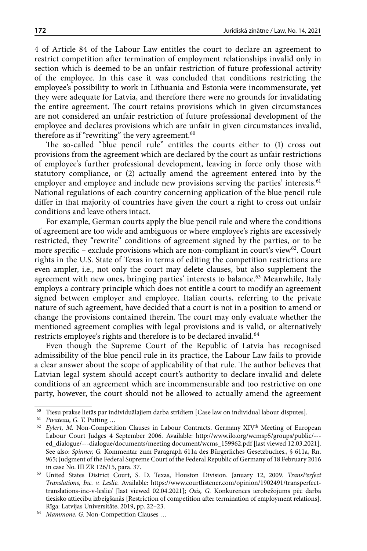4 of Article 84 of the Labour Law entitles the court to declare an agreement to restrict competition after termination of employment relationships invalid only in section which is deemed to be an unfair restriction of future professional activity of the employee. In this case it was concluded that conditions restricting the employee's possibility to work in Lithuania and Estonia were incommensurate, yet they were adequate for Latvia, and therefore there were no grounds for invalidating the entire agreement. The court retains provisions which in given circumstances are not considered an unfair restriction of future professional development of the employee and declares provisions which are unfair in given circumstances invalid, therefore as if "rewriting" the very agreement.<sup>60</sup>

The so-called "blue pencil rule" entitles the courts either to (1) cross out provisions from the agreement which are declared by the court as unfair restrictions of employee's further professional development, leaving in force only those with statutory compliance, or (2) actually amend the agreement entered into by the employer and employee and include new provisions serving the parties' interests.<sup>61</sup> National regulations of each country concerning application of the blue pencil rule differ in that majority of countries have given the court a right to cross out unfair conditions and leave others intact.

For example, German courts apply the blue pencil rule and where the conditions of agreement are too wide and ambiguous or where employee's rights are excessively restricted, they "rewrite" conditions of agreement signed by the parties, or to be more specific – exclude provisions which are non-compliant in court's view $62$ . Court rights in the U.S. State of Texas in terms of editing the competition restrictions are even ampler, i.e., not only the court may delete clauses, but also supplement the agreement with new ones, bringing parties' interests to balance.<sup>63</sup> Meanwhile, Italy employs a contrary principle which does not entitle a court to modify an agreement signed between employer and employee. Italian courts, referring to the private nature of such agreement, have decided that a court is not in a position to amend or change the provisions contained therein. The court may only evaluate whether the mentioned agreement complies with legal provisions and is valid, or alternatively restricts employee's rights and therefore is to be declared invalid.<sup>64</sup>

Even though the Supreme Court of the Republic of Latvia has recognised admissibility of the blue pencil rule in its practice, the Labour Law fails to provide a clear answer about the scope of applicability of that rule. The author believes that Latvian legal system should accept court's authority to declare invalid and delete conditions of an agreement which are incommensurable and too restrictive on one party, however, the court should not be allowed to actually amend the agreement

<sup>60</sup> Tiesu prakse lietās par individuālajiem darba strīdiem [Case law on individual labour disputes].

<sup>&</sup>lt;sup>61</sup> *Pivateau, G. T. Putting ...* 

<sup>&</sup>lt;sup>62</sup> Eylert, M. Non-Competition Clauses in Labour Contracts. Germany XIV<sup>th</sup> Meeting of European Labour Court Judges 4 September 2006. Available: http://www.ilo.org/wcmsp5/groups/public/-- ed\_dialogue/---dialogue/documents/meeting document/wcms\_159962.pdf [last viewed 12.03.2021]. See also: *Spinner, G.* Kommentar zum Paragraph 611a des Bürgerliches Gesetzbuches., § 611a, Rn. 965; Judgment of the Federal Supreme Court of the Federal Republic of Germany of 18 February 2016 in case No. III ZR 126/15, para. 37.

<sup>63</sup> United States District Court, S. D. Texas, Houston Division. January 12, 2009. *TransPerfect Translations, Inc. v. Leslie.* Available: [https://www.courtlistener.com/opinion/1902491/transperfect](https://www.courtlistener.com/opinion/1902491/transperfect-translations-inc-v-leslie/)[translations-inc-v-leslie/](https://www.courtlistener.com/opinion/1902491/transperfect-translations-inc-v-leslie/) [last viewed 02.04.2021]; *Osis, G.* Konkurences ierobežojums pēc darba tiesisko attiecību izbeigšanās [Restriction of competition after termination of employment relations]. Rīga: Latvijas Universitāte, 2019, pp. 22–23.

<sup>64</sup> *Mammone, G.* Non-Competition Clauses …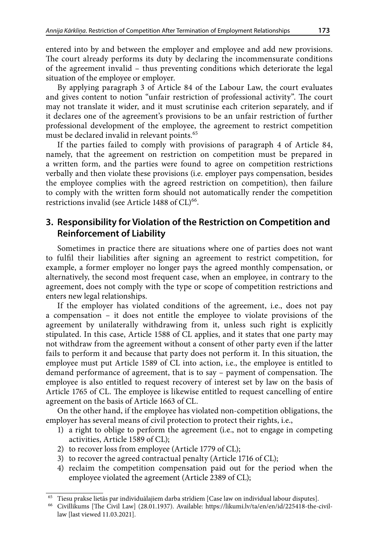entered into by and between the employer and employee and add new provisions. The court already performs its duty by declaring the incommensurate conditions of the agreement invalid – thus preventing conditions which deteriorate the legal situation of the employee or employer.

By applying paragraph 3 of Article 84 of the Labour Law, the court evaluates and gives content to notion "unfair restriction of professional activity". The court may not translate it wider, and it must scrutinise each criterion separately, and if it declares one of the agreement's provisions to be an unfair restriction of further professional development of the employee, the agreement to restrict competition must be declared invalid in relevant points.<sup>65</sup>

If the parties failed to comply with provisions of paragraph 4 of Article 84, namely, that the agreement on restriction on competition must be prepared in a written form, and the parties were found to agree on competition restrictions verbally and then violate these provisions (i.e. employer pays compensation, besides the employee complies with the agreed restriction on competition), then failure to comply with the written form should not automatically render the competition restrictions invalid (see Article 1488 of  $CL$ )<sup>66</sup>.

# **3. Responsibility for Violation of the Restriction on Competition and Reinforcement of Liability**

Sometimes in practice there are situations where one of parties does not want to fulfil their liabilities after signing an agreement to restrict competition, for example, a former employer no longer pays the agreed monthly compensation, or alternatively, the second most frequent case, when an employee, in contrary to the agreement, does not comply with the type or scope of competition restrictions and enters new legal relationships.

If the employer has violated conditions of the agreement, i.e., does not pay a compensation – it does not entitle the employee to violate provisions of the agreement by unilaterally withdrawing from it, unless such right is explicitly stipulated. In this case, Article 1588 of CL applies, and it states that one party may not withdraw from the agreement without a consent of other party even if the latter fails to perform it and because that party does not perform it. In this situation, the employee must put Article 1589 of CL into action, i.e., the employee is entitled to demand performance of agreement, that is to say – payment of compensation. The employee is also entitled to request recovery of interest set by law on the basis of Article 1765 of CL. The employee is likewise entitled to request cancelling of entire agreement on the basis of Article 1663 of CL.

On the other hand, if the employee has violated non-competition obligations, the employer has several means of civil protection to protect their rights, i.e.,

- 1) a right to oblige to perform the agreement (i.e., not to engage in competing activities, Article 1589 of CL);
- 2) to recover loss from employee (Article 1779 of CL);
- 3) to recover the agreed contractual penalty (Article 1716 of CL);
- 4) reclaim the competition compensation paid out for the period when the employee violated the agreement (Article 2389 of CL);

<sup>65</sup> Tiesu prakse lietās par individuālajiem darba strīdiem [Case law on individual labour disputes].

<sup>66</sup> Civillikums [The Civil Law] (28.01.1937). Available: [https://likumi.lv/ta/en/en/id/225418-the-civil](https://likumi.lv/ta/en/en/id/225418-the-civil-law)[law](https://likumi.lv/ta/en/en/id/225418-the-civil-law) [last viewed 11.03.2021].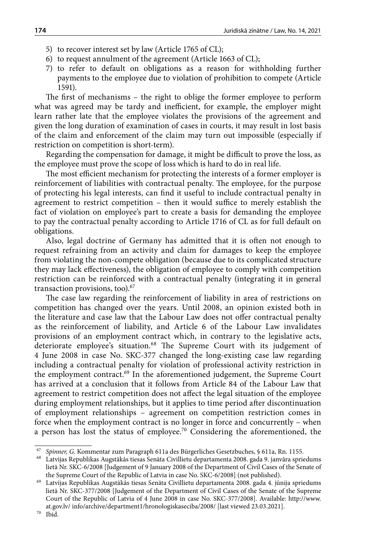- 5) to recover interest set by law (Article 1765 of CL);
- 6) to request annulment of the agreement (Article 1663 of CL);
- 7) to refer to default on obligations as a reason for withholding further payments to the employee due to violation of prohibition to compete (Article 1591).

The first of mechanisms – the right to oblige the former employee to perform what was agreed may be tardy and inefficient, for example, the employer might learn rather late that the employee violates the provisions of the agreement and given the long duration of examination of cases in courts, it may result in lost basis of the claim and enforcement of the claim may turn out impossible (especially if restriction on competition is short-term).

Regarding the compensation for damage, it might be difficult to prove the loss, as the employee must prove the scope of loss which is hard to do in real life.

The most efficient mechanism for protecting the interests of a former employer is reinforcement of liabilities with contractual penalty. The employee, for the purpose of protecting his legal interests, can find it useful to include contractual penalty in agreement to restrict competition – then it would suffice to merely establish the fact of violation on employee's part to create a basis for demanding the employee to pay the contractual penalty according to Article 1716 of CL as for full default on obligations.

Also, legal doctrine of Germany has admitted that it is often not enough to request refraining from an activity and claim for damages to keep the employee from violating the non-compete obligation (because due to its complicated structure they may lack effectiveness), the obligation of employee to comply with competition restriction can be reinforced with a contractual penalty (integrating it in general transaction provisions, too).<sup>67</sup>

The case law regarding the reinforcement of liability in area of restrictions on competition has changed over the years. Until 2008, an opinion existed both in the literature and case law that the Labour Law does not offer contractual penalty as the reinforcement of liability, and Article 6 of the Labour Law invalidates provisions of an employment contract which, in contrary to the legislative acts, deteriorate employee's situation.<sup>68</sup> The Supreme Court with its judgement of 4 June 2008 in case No. SKC-377 changed the long-existing case law regarding including a contractual penalty for violation of professional activity restriction in the employment contract.<sup>69</sup> In the aforementioned judgement, the Supreme Court has arrived at a conclusion that it follows from Article 84 of the Labour Law that agreement to restrict competition does not affect the legal situation of the employee during employment relationships, but it applies to time period after discontinuation of employment relationships – agreement on competition restriction comes in force when the employment contract is no longer in force and concurrently – when a person has lost the status of employee.<sup>70</sup> Considering the aforementioned, the

<sup>67</sup> *Spinner, G*. Kommentar zum Paragraph 611a des Bürgerliches Gesetzbuches, § 611a, Rn. 1155.

<sup>68</sup> Latvijas Republikas Augstākās tiesas Senāta Civillietu departamenta 2008. gada 9. janvāra spriedums lietā Nr. SKC-6/2008 [Judgement of 9 January 2008 of the Department of Civil Cases of the Senate of the Supreme Court of the Republic of Latvia in case No. SKC-6/2008] (not published).

<sup>69</sup> Latvijas Republikas Augstākās tiesas Senāta Civillietu departamenta 2008. gada 4. jūnija spriedums lietā Nr. SKC-377/2008 [Judgement of the Department of Civil Cases of the Senate of the Supreme Court of the Republic of Latvia of 4 June 2008 in case No. SKC-377/2008]. Available: http://www. at.gov.lv/ info/archive/department1/hronologiskaseciba/2008/ [last viewed 23.03.2021]. $^{70}$   $\,$  Ibid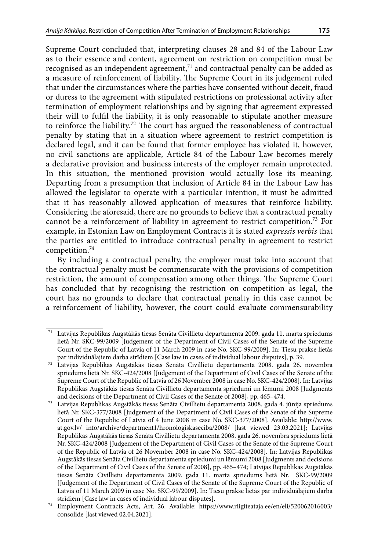Supreme Court concluded that, interpreting clauses 28 and 84 of the Labour Law as to their essence and content, agreement on restriction on competition must be recognised as an independent agreement,<sup>71</sup> and contractual penalty can be added as a measure of reinforcement of liability. The Supreme Court in its judgement ruled that under the circumstances where the parties have consented without deceit, fraud or duress to the agreement with stipulated restrictions on professional activity after termination of employment relationships and by signing that agreement expressed their will to fulfil the liability, it is only reasonable to stipulate another measure to reinforce the liability.72 The court has argued the reasonableness of contractual penalty by stating that in a situation where agreement to restrict competition is declared legal, and it can be found that former employee has violated it, however, no civil sanctions are applicable, Article 84 of the Labour Law becomes merely a declarative provision and business interests of the employer remain unprotected. In this situation, the mentioned provision would actually lose its meaning. Departing from a presumption that inclusion of Article 84 in the Labour Law has allowed the legislator to operate with a particular intention, it must be admitted that it has reasonably allowed application of measures that reinforce liability. Considering the aforesaid, there are no grounds to believe that a contractual penalty cannot be a reinforcement of liability in agreement to restrict competition.73 For example, in Estonian Law on Employment Contracts it is stated *expressis verbis* that the parties are entitled to introduce contractual penalty in agreement to restrict competition.74

By including a contractual penalty, the employer must take into account that the contractual penalty must be commensurate with the provisions of competition restriction, the amount of compensation among other things. The Supreme Court has concluded that by recognising the restriction on competition as legal, the court has no grounds to declare that contractual penalty in this case cannot be a reinforcement of liability, however, the court could evaluate commensurability

 $71$  Latvijas Republikas Augstākās tiesas Senāta Civillietu departamenta 2009. gada 11. marta spriedums lietā Nr. SKC-99/2009 [Judgement of the Department of Civil Cases of the Senate of the Supreme Court of the Republic of Latvia of 11 March 2009 in case No. SKC-99/2009]. In: Tiesu prakse lietās par individuālajiem darba strīdiem [Case law in cases of individual labour disputes], p. 39.

<sup>72</sup> Latvijas Republikas Augstākās tiesas Senāta Civillietu departamenta 2008. gada 26. novembra spriedums lietā Nr. SKC-424/2008 [Judgement of the Department of Civil Cases of the Senate of the Supreme Court of the Republic of Latvia of 26 November 2008 in case No. SKC-424/2008]. In: Latvijas Republikas Augstākās tiesas Senāta Civillietu departamenta spriedumi un lēmumi 2008 [Judgments and decisions of the Department of Civil Cases of the Senate of 2008], pp. 465–474.

<sup>73</sup> Latvijas Republikas Augstākās tiesas Senāta Civillietu departamenta 2008. gada 4. jūnija spriedums lietā Nr. SKC-377/2008 [Judgement of the Department of Civil Cases of the Senate of the Supreme Court of the Republic of Latvia of 4 June 2008 in case No. SKC-377/2008]. Available: http://www. at.gov.lv/ info/archive/department1/hronologiskaseciba/2008/ [last viewed 23.03.2021]; Latvijas Republikas Augstākās tiesas Senāta Civillietu departamenta 2008. gada 26. novembra spriedums lietā Nr. SKC-424/2008 [Judgement of the Department of Civil Cases of the Senate of the Supreme Court of the Republic of Latvia of 26 November 2008 in case No. SKC-424/2008]. In: Latvijas Republikas Augstākās tiesas Senāta Civillietu departamenta spriedumi un lēmumi 2008 [Judgments and decisions of the Department of Civil Cases of the Senate of 2008], pp. 465–474; Latvijas Republikas Augstākās tiesas Senāta Civillietu departamenta 2009. gada 11. marta spriedums lietā Nr. SKC-99/2009 [Judgement of the Department of Civil Cases of the Senate of the Supreme Court of the Republic of Latvia of 11 March 2009 in case No. SKC-99/2009]. In: Tiesu prakse lietās par individuālajiem darba strīdiem [Case law in cases of individual labour disputes].

<sup>74</sup> Employment Contracts Acts, Art. 26. Available: [https://www.riigiteataja.ee/en/eli/520062016003/](https://www.riigiteataja.ee/en/eli/520062016003/consolide) [consolide](https://www.riigiteataja.ee/en/eli/520062016003/consolide) [last viewed 02.04.2021].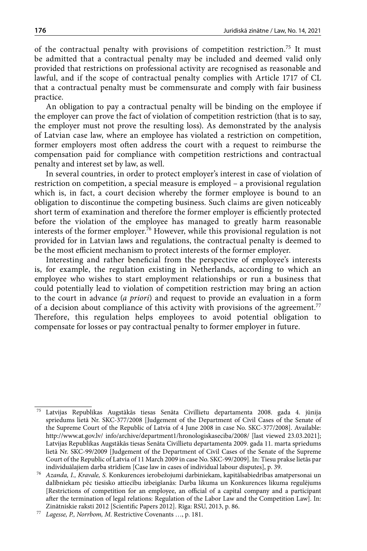of the contractual penalty with provisions of competition restriction.75 It must be admitted that a contractual penalty may be included and deemed valid only provided that restrictions on professional activity are recognised as reasonable and lawful, and if the scope of contractual penalty complies with Article 1717 of CL that a contractual penalty must be commensurate and comply with fair business practice.

An obligation to pay a contractual penalty will be binding on the employee if the employer can prove the fact of violation of competition restriction (that is to say, the employer must not prove the resulting loss). As demonstrated by the analysis of Latvian case law, where an employee has violated a restriction on competition, former employers most often address the court with a request to reimburse the compensation paid for compliance with competition restrictions and contractual penalty and interest set by law, as well.

In several countries, in order to protect employer's interest in case of violation of restriction on competition, a special measure is employed – a provisional regulation which is, in fact, a court decision whereby the former employee is bound to an obligation to discontinue the competing business. Such claims are given noticeably short term of examination and therefore the former employer is efficiently protected before the violation of the employee has managed to greatly harm reasonable interests of the former employer.<sup>76</sup> However, while this provisional regulation is not provided for in Latvian laws and regulations, the contractual penalty is deemed to be the most efficient mechanism to protect interests of the former employer.

Interesting and rather beneficial from the perspective of employee's interests is, for example, the regulation existing in Netherlands, according to which an employee who wishes to start employment relationships or run a business that could potentially lead to violation of competition restriction may bring an action to the court in advance (*a priori*) and request to provide an evaluation in a form of a decision about compliance of this activity with provisions of the agreement.<sup>77</sup> Therefore, this regulation helps employees to avoid potential obligation to compensate for losses or pay contractual penalty to former employer in future.

<sup>75</sup> Latvijas Republikas Augstākās tiesas Senāta Civillietu departamenta 2008. gada 4. jūnija spriedums lietā Nr. SKC-377/2008 [Judgement of the Department of Civil Cases of the Senate of the Supreme Court of the Republic of Latvia of 4 June 2008 in case No. SKC-377/2008]. Available: http://www.at.gov.lv/ info/archive/department1/hronologiskaseciba/2008/ [last viewed 23.03.2021]; Latvijas Republikas Augstākās tiesas Senāta Civillietu departamenta 2009. gada 11. marta spriedums lietā Nr. SKC-99/2009 [Judgement of the Department of Civil Cases of the Senate of the Supreme Court of the Republic of Latvia of 11 March 2009 in case No. SKC-99/2009]. In: Tiesu prakse lietās par individuālajiem darba strīdiem [Case law in cases of individual labour disputes], p. 39.

<sup>76</sup> *Azanda, I., Kravale, S.* Konkurences ierobežojumi darbiniekam, kapitālsabiedrības amatpersonai un dalībniekam pēc tiesisko attiecību izbeigšanās: Darba likuma un Konkurences likuma regulējums [Restrictions of competition for an employee, an official of a capital company and a participant after the termination of legal relations: Regulation of the Labor Law and the Competition Law]. In: Zinātniskie raksti 2012 [Scientific Papers 2012]. Rīga: RSU, 2013, p. 86.

<sup>77</sup> *Lagesse, P., Norrbom, M.* Restrictive Covenants …, p. 181.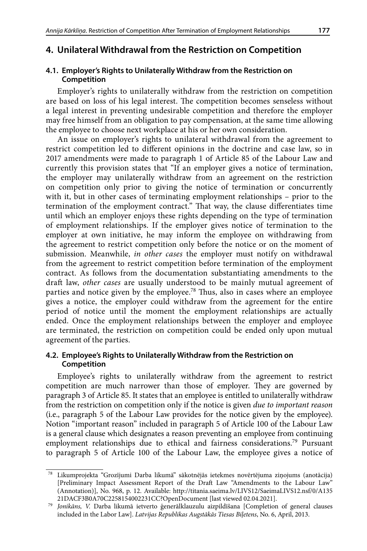# **4. Unilateral Withdrawal from the Restriction on Competition**

## **4.1. Employer's Rights to Unilaterally Withdraw from the Restriction on Competition**

Employer's rights to unilaterally withdraw from the restriction on competition are based on loss of his legal interest. The competition becomes senseless without a legal interest in preventing undesirable competition and therefore the employer may free himself from an obligation to pay compensation, at the same time allowing the employee to choose next workplace at his or her own consideration.

An issue on employer's rights to unilateral withdrawal from the agreement to restrict competition led to different opinions in the doctrine and case law, so in 2017 amendments were made to paragraph 1 of Article 85 of the Labour Law and currently this provision states that "If an employer gives a notice of termination, the employer may unilaterally withdraw from an agreement on the restriction on competition only prior to giving the notice of termination or concurrently with it, but in other cases of terminating employment relationships – prior to the termination of the employment contract." That way, the clause differentiates time until which an employer enjoys these rights depending on the type of termination of employment relationships. If the employer gives notice of termination to the employer at own initiative, he may inform the employee on withdrawing from the agreement to restrict competition only before the notice or on the moment of submission. Meanwhile, *in other cases* the employer must notify on withdrawal from the agreement to restrict competition before termination of the employment contract. As follows from the documentation substantiating amendments to the draft law, *other cases* are usually understood to be mainly mutual agreement of parties and notice given by the employee.<sup>78</sup> Thus, also in cases where an employee gives a notice, the employer could withdraw from the agreement for the entire period of notice until the moment the employment relationships are actually ended. Once the employment relationships between the employer and employee are terminated, the restriction on competition could be ended only upon mutual agreement of the parties.

## **4.2. Employee's Rights to Unilaterally Withdraw from the Restriction on Competition**

Employee's rights to unilaterally withdraw from the agreement to restrict competition are much narrower than those of employer. They are governed by paragraph 3 of Article 85. It states that an employee is entitled to unilaterally withdraw from the restriction on competition only if the notice is given *due to important reason* (i.e., paragraph 5 of the Labour Law provides for the notice given by the employee). Notion "important reason" included in paragraph 5 of Article 100 of the Labour Law is a general clause which designates a reason preventing an employee from continuing employment relationships due to ethical and fairness considerations.79 Pursuant to paragraph 5 of Article 100 of the Labour Law, the employee gives a notice of

 $^{78}\,$  Likumprojekta "Grozījumi Darba likumā" sākotnējās ietekmes novērtējuma ziņojums (anotācija) [Preliminary Impact Assessment Report of the Draft Law "Amendments to the Labour Law" (Annotation)], No. 968, p. 12. Available: http://titania.saeima.lv/LIVS12/SaeimaLIVS12.nsf/0/A135

<sup>&</sup>lt;sup>79</sup> Jonikāns, V. Darba likumā ietverto ģenerālklauzulu aizpildīšana [Completion of general clauses included in the Labor Law]. *Latvijas Republikas Augstākās Tiesas Biļetens*, No. 6, April, 2013.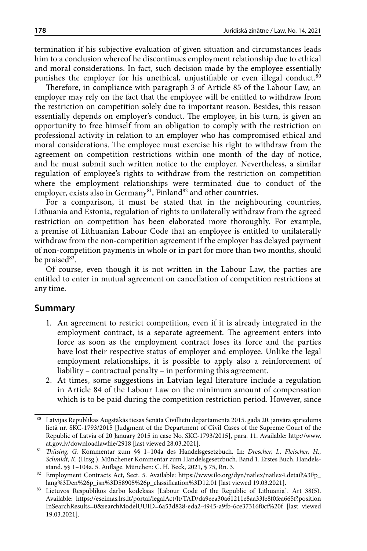termination if his subjective evaluation of given situation and circumstances leads him to a conclusion whereof he discontinues employment relationship due to ethical and moral considerations. In fact, such decision made by the employee essentially punishes the employer for his unethical, unjustifiable or even illegal conduct.<sup>80</sup>

Therefore, in compliance with paragraph 3 of Article 85 of the Labour Law, an employer may rely on the fact that the employee will be entitled to withdraw from the restriction on competition solely due to important reason. Besides, this reason essentially depends on employer's conduct. The employee, in his turn, is given an opportunity to free himself from an obligation to comply with the restriction on professional activity in relation to an employer who has compromised ethical and moral considerations. The employee must exercise his right to withdraw from the agreement on competition restrictions within one month of the day of notice, and he must submit such written notice to the employer. Nevertheless, a similar regulation of employee's rights to withdraw from the restriction on competition where the employment relationships were terminated due to conduct of the employer, exists also in Germany<sup>81</sup>, Finland<sup>82</sup> and other countries.

For a comparison, it must be stated that in the neighbouring countries, Lithuania and Estonia, regulation of rights to unilaterally withdraw from the agreed restriction on competition has been elaborated more thoroughly. For example, a premise of Lithuanian Labour Code that an employee is entitled to unilaterally withdraw from the non-competition agreement if the employer has delayed payment of non-competition payments in whole or in part for more than two months, should be praised<sup>83</sup>.

Of course, even though it is not written in the Labour Law, the parties are entitled to enter in mutual agreement on cancellation of competition restrictions at any time.

## **Summary**

- 1. An agreement to restrict competition, even if it is already integrated in the employment contract, is a separate agreement. The agreement enters into force as soon as the employment contract loses its force and the parties have lost their respective status of employer and employee. Unlike the legal employment relationships, it is possible to apply also a reinforcement of liability – contractual penalty – in performing this agreement.
- 2. At times, some suggestions in Latvian legal literature include a regulation in Article 84 of the Labour Law on the minimum amount of compensation which is to be paid during the competition restriction period. However, since

<sup>80</sup> Latvijas Republikas Augstākās tiesas Senāta Civillietu departamenta 2015. gada 20. janvāra spriedums lietā nr. SKC-1793/2015 [Judgment of the Department of Civil Cases of the Supreme Court of the Republic of Latvia of 20 January 2015 in case No. SKC-1793/2015], para. 11. Available: [http://www.](http://www.at.gov.lv/downloadlawfile/2918)

[at.gov.lv/downloadlawfile/2918](http://www.at.gov.lv/downloadlawfile/2918) [last viewed 28.03.2021]. 81 *Thüsing, G.* Kommentar zum §§ 1–104a des Handelsgesetzbuch*.* In: *Drescher, I., Fleischer, H., Schmidt, K.* (Hrsg.). Münchener Kommentar zum Handelsgesetzbuch. Band 1. Erstes Buch. Handelsstand. §§ 1–104a. 5. Auflage. München: C. H. Beck, 2021, § 75, Rn. 3.

<sup>82</sup> Employment Contracts Act, Sect. 5. Available: [https://www.ilo.org/dyn/natlex/natlex4.detail%3Fp\\_](https://www.ilo.org/dyn/natlex/natlex4.detail?p_lang=en&)

<sup>83</sup> Lietuvos Respublikos darbo kodeksas [Labour Code of the Republic of Lithuania]. Art 38(5). Available: [https://eseimas.lrs.lt/portal/legalAct/lt/TAD/da9eea30a61211e8aa33fe8f0fea665f?position](https://eseimas.lrs.lt/portal/legalAct/lt/TAD/da9eea30a61211e8aa33fe8f0fea665f?positionInSearchResults=0&searchModelUUID=6a53d828-eda2-4945-a9fb-6ce37316f0cf%20f) [InSearchResults=0&searchModelUUID=6a53d828-eda2-4945-a9fb-6ce37316f0cf%20f](https://eseimas.lrs.lt/portal/legalAct/lt/TAD/da9eea30a61211e8aa33fe8f0fea665f?positionInSearchResults=0&searchModelUUID=6a53d828-eda2-4945-a9fb-6ce37316f0cf%20f) [last viewed 19.03.2021].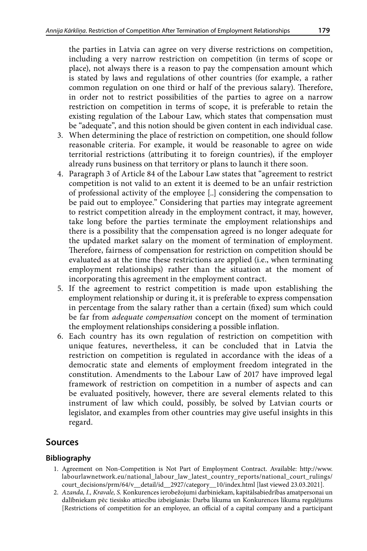the parties in Latvia can agree on very diverse restrictions on competition, including a very narrow restriction on competition (in terms of scope or place), not always there is a reason to pay the compensation amount which is stated by laws and regulations of other countries (for example, a rather common regulation on one third or half of the previous salary). Therefore, in order not to restrict possibilities of the parties to agree on a narrow restriction on competition in terms of scope, it is preferable to retain the existing regulation of the Labour Law, which states that compensation must be "adequate", and this notion should be given content in each individual case.

- 3. When determining the place of restriction on competition, one should follow reasonable criteria. For example, it would be reasonable to agree on wide territorial restrictions (attributing it to foreign countries), if the employer already runs business on that territory or plans to launch it there soon.
- 4. Paragraph 3 of Article 84 of the Labour Law states that "agreement to restrict competition is not valid to an extent it is deemed to be an unfair restriction of professional activity of the employee [..] considering the compensation to be paid out to employee." Considering that parties may integrate agreement to restrict competition already in the employment contract, it may, however, take long before the parties terminate the employment relationships and there is a possibility that the compensation agreed is no longer adequate for the updated market salary on the moment of termination of employment. Therefore, fairness of compensation for restriction on competition should be evaluated as at the time these restrictions are applied (i.e., when terminating employment relationships) rather than the situation at the moment of incorporating this agreement in the employment contract.
- 5. If the agreement to restrict competition is made upon establishing the employment relationship or during it, it is preferable to express compensation in percentage from the salary rather than a certain (fixed) sum which could be far from *adequate compensation* concept on the moment of termination the employment relationships considering a possible inflation.
- 6. Each country has its own regulation of restriction on competition with unique features, nevertheless, it can be concluded that in Latvia the restriction on competition is regulated in accordance with the ideas of a democratic state and elements of employment freedom integrated in the constitution. Amendments to the Labour Law of 2017 have improved legal framework of restriction on competition in a number of aspects and can be evaluated positively, however, there are several elements related to this instrument of law which could, possibly, be solved by Latvian courts or legislator, and examples from other countries may give useful insights in this regard.

# **Sources**

## **Bibliography**

- 1. Agreement on Non-Competition is Not Part of Employment Contract. Available: http://www. labourlawnetwork.eu/national\_labour\_law\_latest\_country\_reports/national\_court\_rulings/ court\_decisions/prm/64/v\_\_detail/id\_\_2927/category\_\_10/index.html [last viewed 23.03.2021].
- 2. *Azanda, I., Kravale, S.* Konkurences ierobežojumi darbiniekam, kapitālsabiedrības amatpersonai un dalībniekam pēc tiesisko attiecību izbeigšanās: Darba likuma un Konkurences likuma regulējums [Restrictions of competition for an employee, an official of a capital company and a participant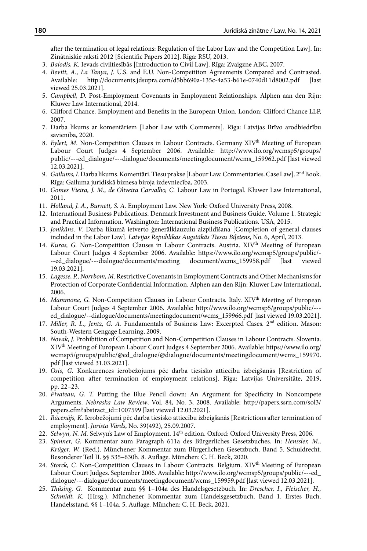after the termination of legal relations: Regulation of the Labor Law and the Competition Law]. In: Zinātniskie raksti 2012 [Scientific Papers 2012]. Rīga: RSU, 2013.

- 3. *Balodis, K.* Ievads civiltiesībās [Introduction to Civil Law]. Rīga: Zvaigzne ABC, 2007.
- 4. *Bevitt, A., La Tanya, J.* U.S. and E.U. Non-Competition Agreements Compared and Contrasted. Available: http://documents.jdsupra.com/d5bb690a-135c-4a53-b61e-0740d11d8002.pdf [last viewed 25.03.2021].
- 5. *Campbell, D.* Post-Employment Covenants in Employment Relationships. Alphen aan den Rijn: Kluwer Law International, 2014.
- 6. Clifford Chance. Employment and Benefits in the European Union. London: Clifford Chance LLP, 2007.
- 7. Darba likums ar komentāriem [Labor Law with Comments]. Rīga: Latvijas Brīvo arodbiedrību savienība, 2020.
- 8. *Eylert, M.* Non-Competition Clauses in Labour Contracts. Germany XIVth Meeting of European Labour Court Judges 4 September 2006. Available: <http://www.ilo.org/wcmsp5/>groups/ public/---ed\_dialogue/---dialogue/documents/meetingdocument/wcms\_159962.pdf [last viewed 12.03.2021].
- 9. *Gailums, I.* Darba likums. Komentāri. Tiesu prakse [Labour Law. Commentaries. Case Law]. 2<sup>nd</sup> Book. Rīga: Gailuma juridiskā biznesa biroja izdevniecība, 2003.
- 10. *Gomes Vieira, J. M., de Oliveira Carvalho, C.* Labour Law in Portugal. Kluwer Law International, 2011.
- 11. *Holland, J. A., Burnett, S. A.* Employment Law. New York: Oxford University Press, 2008.
- 12. International Business Publications. Denmark Investment and Business Guide. Volume 1. Strategic and Practical Information. Washington: International Business Publications. USA, 2015.
- 13. *Jonikāns, V.* Darba likumā ietverto ģenerālklauzulu aizpildīšana [Completion of general clauses included in the Labor Law]. *Latvijas Republikas Augstākās Tiesas Biļetens*, No. 6, April, 2013.
- 14. *Kuras, G. Non-Competition Clauses in Labour Contracts. Austria. XIV<sup>th</sup> Meeting of European* Labour Court Judges 4 September 2006. Available: [https://www.ilo.org/wcmsp5/groups/public/-](https://www.ilo.org/wcmsp5/groups/public/---ed_dialogue/---dialogue/documents/meeting%20document/wcms_159958.pdf) [--ed\\_dialogue/---dialogue/documents/meeting document/wcms\\_159958.pdf](https://www.ilo.org/wcmsp5/groups/public/---ed_dialogue/---dialogue/documents/meeting%20document/wcms_159958.pdf) [last viewed 19.03.2021].
- 15. *Lagesse, P., Norrbom, M.* Restrictive Covenants in Employment Contracts and Other Mechanisms for Protection of Corporate Confidential Information. Alphen aan den Rijn: Kluwer Law International, 2006.
- 16. *Mammone, G. Non-Competition Clauses in Labour Contracts. Italy. XIV<sup>th</sup> Meeting of European* Labour Court Judges 4 September 2006. Available: http://www.ilo.org/wcmsp5/groups/public/-- ed\_dialogue/--dialogue/documents/meetingdocument/wcms\_159966.pdf [last viewed 19.03.2021].
- 17. *Miller, R. L., Jentz, G. A.* Fundamentals of Business Law: Excerpted Cases. 2nd edition. Mason: South-Western Cengage Learning, 2009.
- 18. *Novak, J.* Prohibition of Competition and Non-Competition Clauses in Labour Contracts. Slovenia. XIVth Meeting of European Labour Court Judges 4 September 2006. Available: [https://www.ilo.org/](https://www.ilo.org/wcmsp5/groups/public/@ed_dialogue/@dialogue/documents/meetingdocument/wcms_159970.pdf) [wcmsp5/groups/public/@ed\\_dialogue/@dialogue/documents/meetingdocument/wcms\\_159970.](https://www.ilo.org/wcmsp5/groups/public/@ed_dialogue/@dialogue/documents/meetingdocument/wcms_159970.pdf) [pdf](https://www.ilo.org/wcmsp5/groups/public/@ed_dialogue/@dialogue/documents/meetingdocument/wcms_159970.pdf) [last viewed 31.03.2021].
- 19. *Osis, G.* Konkurences ierobežojums pēc darba tiesisko attiecību izbeigšanās [Restriction of competition after termination of employment relations]. Rīga: Latvijas Universitāte, 2019, pp. 22–23.
- 20. *Pivateau, G. T.* Putting the Blue Pencil down: An Argument for Specificity in Noncompete Arguments. *Nebraska Law Review*, Vol. 84, No. 3, 2008. Available: [http://papers.ssrn.com/sol3/](http://papers.ssrn.com/sol3/papers.cfm?abstract_id=1007599) [papers.cfm?abstract\\_id=1007599](http://papers.ssrn.com/sol3/papers.cfm?abstract_id=1007599) [last viewed 12.03.2021].
- 21. *Rācenājs, K.* Ierobežojumi pēc darba tiesisko attiecību izbeigšanās [Restrictions after termination of employment]. *Jurista Vārds*, No. 39(492), 25.09.2007.
- 22. Selwyn, N. M. Selwyn's Law of Employment. 14<sup>th</sup> edition. Oxford: Oxford University Press, 2006.
- 23. *Spinner, G*. Kommentar zum Paragraph 611a des Bürgerliches Gesetzbuches. In: *Henssler, M., Krüger, W.* (Red.). Münchener Kommentar zum Bürgerlichen Gesetzbuch. Band 5. Schuldrecht. Besonderer Teil II. §§ 535–630h. 8. Auflage. München: C. H. Beck, 2020.
- 24. *Storck, C.* Non-Competition Clauses in Labour Contracts. Belgium. XIV<sup>th</sup> Meeting of European Labour Court Judges. September 2006. Available: http://www.ilo.org/wcmsp5/groups/public/---ed\_ dialogue/---dialogue/documents/meetingdocument/wcms\_159959.pdf [last viewed 12.03.2021].
- 25. *Thüsing, G.* Kommentar zum §§ 1–104a des Handelsgesetzbuch. In: *Drescher, I., Fleischer, H., Schmidt, K.* (Hrsg.). Münchener Kommentar zum Handelsgesetzbuch. Band 1. Erstes Buch. Handelsstand. §§ 1–104a. 5. Auflage. München: C. H. Beck, 2021.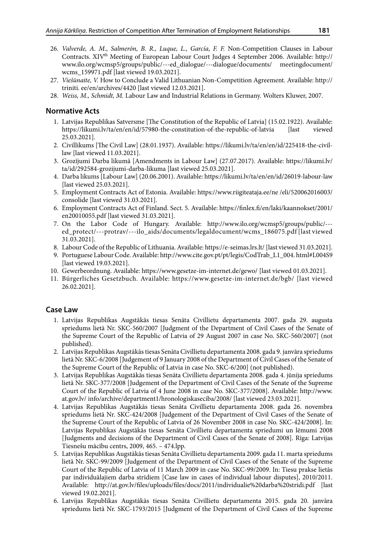- 26. *Valverde, A. M., Salmerón, B. R., Luque, L., García, F. F.* Non-Competition Clauses in Labour Contracts. XIV<sup>th</sup> Meeting of European Labour Court Judges 4 September 2006. Available: [http://](http://www.ilo.org/wcmsp5/groups/public/---ed_dialogue/---dialogue/documents/%20meetingdocument/) [www.ilo.org/wcmsp5/groups/public/---ed\\_dialogue/---dialogue/documents/ meetingdocument/](http://www.ilo.org/wcmsp5/groups/public/---ed_dialogue/---dialogue/documents/%20meetingdocument/) wcms\_159971.pdf [last viewed 19.03.2021].
- 27. *Viešūnaite, V.* How to Conclude a Valid Lithuanian Non-Competition Agreement. Available: http:// triniti. ee/en/archives/4420 [last viewed 12.03.2021].
- 28. *Weiss, M., Schmidt, M.* Labour Law and Industrial Relations in Germany. Wolters Kluwer, 2007.

#### **Normative Acts**

- 1. Latvijas Republikas Satversme [The Constitution of the Republic of Latvia] (15.02.1922). Available: https://likumi.lv/ta/en/en/id/57980-the-constitution-of-the-republic-of-latvia [last viewed 25.03.2021].
- 2. Civillikums [The Civil Law] (28.01.1937). Available: [https://likumi.lv/ta/en/en/id/225418-the-civil](https://likumi.lv/ta/en/en/id/225418-the-civil-law)[law](https://likumi.lv/ta/en/en/id/225418-the-civil-law) [last viewed 11.03.2021].
- 3. Grozījumi Darba likumā [Amendments in Labour Law] (27.07.2017). Available: [https://likumi.lv/](https://likumi.lv/ta/id/292584-grozijumi-darba-likuma) [ta/id/292584-grozijumi-darba-likuma](https://likumi.lv/ta/id/292584-grozijumi-darba-likuma) [last viewed 25.03.2021].
- 4. Darba likums [Labour Law] (20.06.2001). Available: <https://likumi.lv/ta/en/en/id/26019-labour-law> [last viewed 25.03.2021].
- 5. Employment Contracts Act of Estonia. Available: [https://www.riigiteataja.ee/ne /eli/520062016003/](https://www.riigiteataja.ee/ne%20/eli/520062016003/consolide) [consolide](https://www.riigiteataja.ee/ne%20/eli/520062016003/consolide) [last viewed 31.03.2021].
- 6. Employment Contracts Act of Finland. Sect. 5. Available: [https://finlex.fi/en/laki/kaannokset/2001/](https://finlex.fi/en/laki/kaannokset/2001/en20010055.pdf) [en20010055.pdf](https://finlex.fi/en/laki/kaannokset/2001/en20010055.pdf) [last viewed 31.03.2021].
- 7. On the Labor Code of Hungary. Available: [http://www.ilo.org/wcmsp5/groups/public/--](http://www.ilo.org/wcmsp5/groups/public/---ed_protect/---protrav/---ilo_aids/documents/legaldocument/wcms_186075.pdf) [ed\\_protect/---protrav/---ilo\\_aids/documents/legaldocument/wcms\\_186075.pdf](http://www.ilo.org/wcmsp5/groups/public/---ed_protect/---protrav/---ilo_aids/documents/legaldocument/wcms_186075.pdf) [last viewed 31.03.2021].
- 8. Labour Code of the Republic of Lithuania. Available:<https://e-seimas.lrs.lt/>[last viewed 31.03.2021].
- 9. Portuguese Labour Code. Available: http://www.cite.gov.pt/pt/legis/CodTrab\_L1\_004. html#L004S9 [last viewed 19.03.2021].
- 10. Gewerbeordnung. Available: https://www.gesetze-im-internet.de/gewo/ [last viewed 01.03.2021].
- 11. Bürgerliches Gesetzbuch. Available: <https://www.gesetze-im-internet.de/bgb/>[last viewed 26.02.2021].

### **Case Law**

- 1. Latvijas Republikas Augstākās tiesas Senāta Civillietu departamenta 2007. gada 29. augusta spriedums lietā Nr. SKC-560/2007 [Judgment of the Department of Civil Cases of the Senate of the Supreme Court of the Republic of Latvia of 29 August 2007 in case No. SKC-560/2007] (not published).
- 2. Latvijas Republikas Augstākās tiesas Senāta Civillietu departamenta 2008. gada 9. janvāra spriedums lietā Nr. SKC-6/2008 [Judgement of 9 January 2008 of the Department of Civil Cases of the Senate of the Supreme Court of the Republic of Latvia in case No. SKC-6/200] (not published).
- 3. Latvijas Republikas Augstākās tiesas Senāta Civillietu departamenta 2008. gada 4. jūnija spriedums lietā Nr. SKC-377/2008 [Judgement of the Department of Civil Cases of the Senate of the Supreme Court of the Republic of Latvia of 4 June 2008 in case No. SKC-377/2008]. Available: http://www. at.gov.lv/ info/archive/department1/hronologiskaseciba/2008/ [last viewed 23.03.2021].
- 4. Latvijas Republikas Augstākās tiesas Senāta Civillietu departamenta 2008. gada 26. novembra spriedums lietā Nr. SKC-424/2008 [Judgement of the Department of Civil Cases of the Senate of the Supreme Court of the Republic of Latvia of 26 November 2008 in case No. SKC-424/2008]. In: Latvijas Republikas Augstākās tiesas Senāta Civillietu departamenta spriedumi un lēmumi 2008 [Judgments and decisions of the Department of Civil Cases of the Senate of 2008]. Rīga: Latvijas Tiesnešu mācību centrs, 2009, 465. – 474.lpp.
- 5. Latvijas Republikas Augstākās tiesas Senāta Civillietu departamenta 2009. gada 11. marta spriedums lietā Nr. SKC-99/2009 [Judgement of the Department of Civil Cases of the Senate of the Supreme Court of the Republic of Latvia of 11 March 2009 in case No. SKC-99/2009. In: Tiesu prakse lietās par individuālajiem darba strīdiem [Case law in cases of individual labour disputes], 2010/2011. Available: <http://at.gov.lv/files/uploads/files/docs/2011/individualie%20darba%20stridi.pdf>[last viewed 19.02.2021].
- 6. Latvijas Republikas Augstākās tiesas Senāta Civillietu departamenta 2015. gada 20. janvāra spriedums lietā Nr. SKC-1793/2015 [Judgment of the Department of Civil Cases of the Supreme